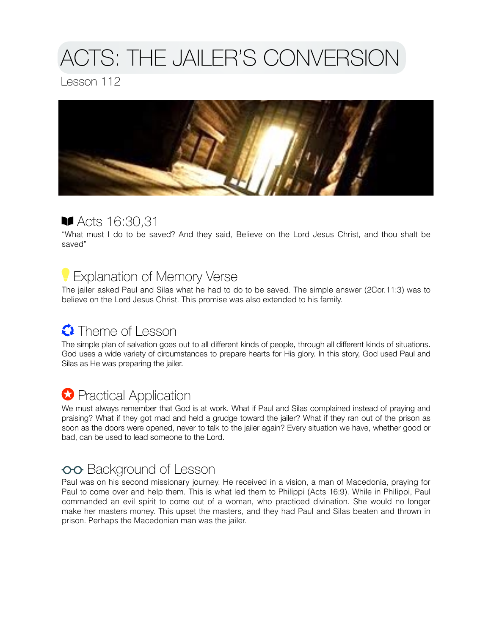# ACTS: THE JAILER'S CONVERSION

Lesson 112



### Acts 16:30,31

"What must I do to be saved? And they said, Believe on the Lord Jesus Christ, and thou shalt be saved"

# Explanation of Memory Verse

The jailer asked Paul and Silas what he had to do to be saved. The simple answer (2Cor.11:3) was to believe on the Lord Jesus Christ. This promise was also extended to his family.

## **C** Theme of Lesson

The simple plan of salvation goes out to all different kinds of people, through all different kinds of situations. God uses a wide variety of circumstances to prepare hearts for His glory. In this story, God used Paul and Silas as He was preparing the jailer.

## **C** Practical Application

We must always remember that God is at work. What if Paul and Silas complained instead of praying and praising? What if they got mad and held a grudge toward the jailer? What if they ran out of the prison as soon as the doors were opened, never to talk to the jailer again? Every situation we have, whether good or bad, can be used to lead someone to the Lord.

### oo Background of Lesson

Paul was on his second missionary journey. He received in a vision, a man of Macedonia, praying for Paul to come over and help them. This is what led them to Philippi (Acts 16:9). While in Philippi, Paul commanded an evil spirit to come out of a woman, who practiced divination. She would no longer make her masters money. This upset the masters, and they had Paul and Silas beaten and thrown in prison. Perhaps the Macedonian man was the jailer.